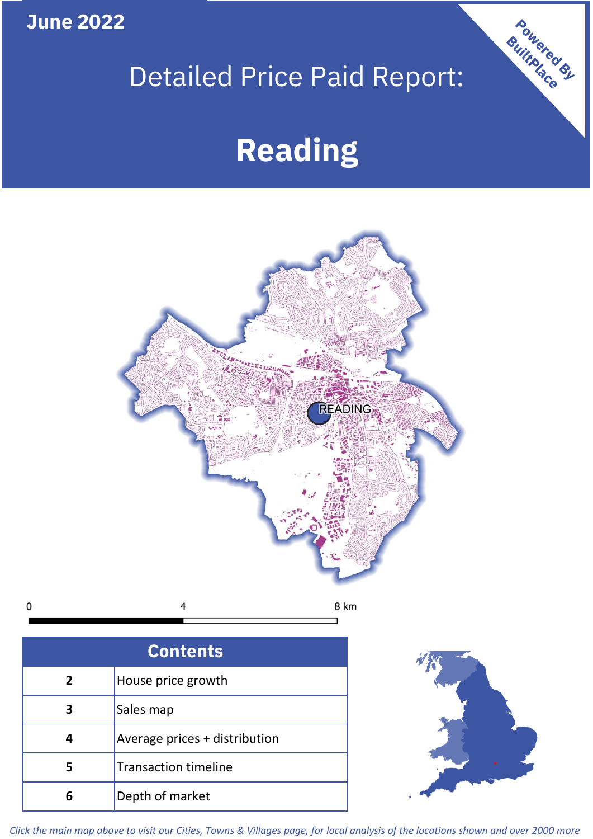**June 2022**

# Detailed Price Paid Report:

# **Reading**



| <b>Contents</b> |                               |  |  |
|-----------------|-------------------------------|--|--|
| $\overline{2}$  | House price growth            |  |  |
| 3               | Sales map                     |  |  |
|                 | Average prices + distribution |  |  |
| 5               | <b>Transaction timeline</b>   |  |  |
|                 | Depth of market               |  |  |



Powered By

*Click the main map above to visit our Cities, Towns & Villages page, for local analysis of the locations shown and over 2000 more*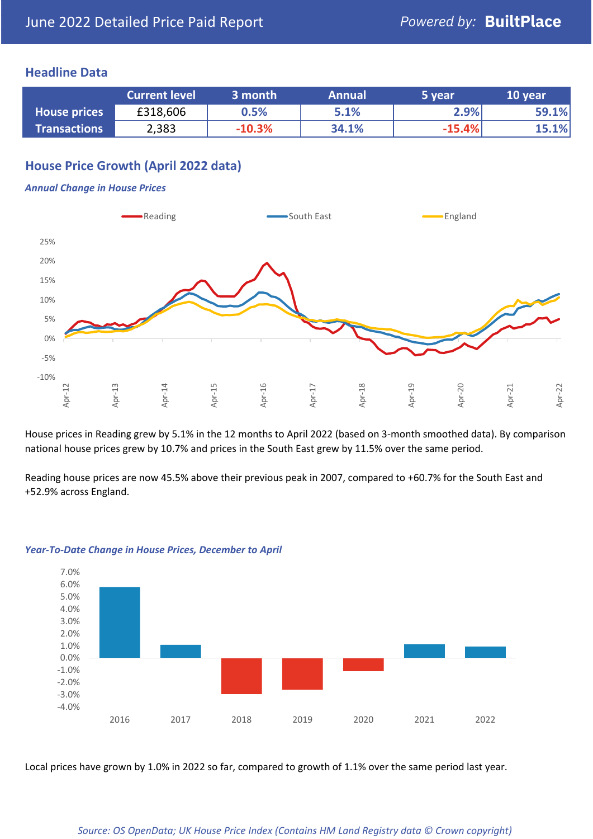### **Headline Data**

|                     | <b>Current level</b> | 3 month  | <b>Annual</b> | 5 year   | 10 year |
|---------------------|----------------------|----------|---------------|----------|---------|
| <b>House prices</b> | £318,606             | $0.5\%$  | 5.1%          | 2.9%     | 59.1%   |
| <b>Transactions</b> | 2,383                | $-10.3%$ | 34.1%         | $-15.4%$ | 15.1%   |

# **House Price Growth (April 2022 data)**

#### *Annual Change in House Prices*



House prices in Reading grew by 5.1% in the 12 months to April 2022 (based on 3-month smoothed data). By comparison national house prices grew by 10.7% and prices in the South East grew by 11.5% over the same period.

Reading house prices are now 45.5% above their previous peak in 2007, compared to +60.7% for the South East and +52.9% across England.



#### *Year-To-Date Change in House Prices, December to April*

Local prices have grown by 1.0% in 2022 so far, compared to growth of 1.1% over the same period last year.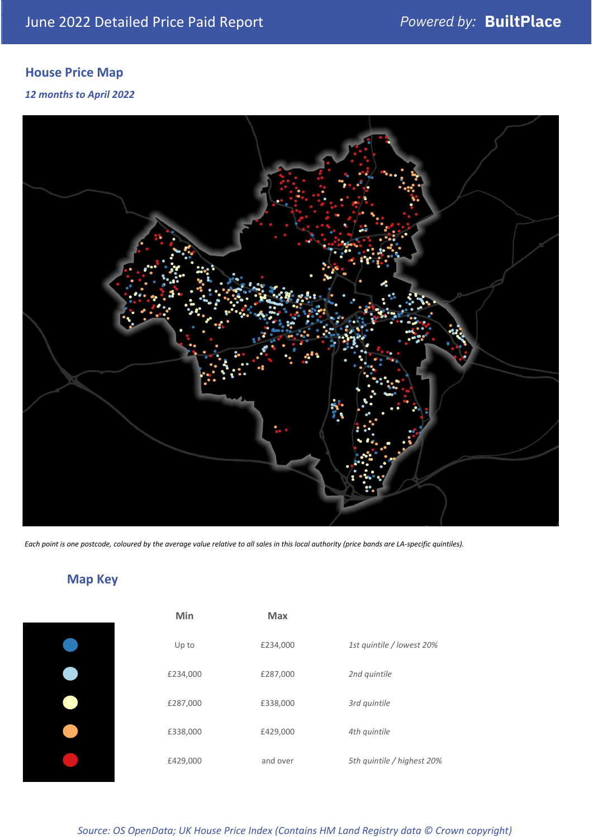# **House Price Map**

*12 months to April 2022*



*Each point is one postcode, coloured by the average value relative to all sales in this local authority (price bands are LA-specific quintiles).*

**Map Key**

| Min      | <b>Max</b> |                            |
|----------|------------|----------------------------|
| Up to    | £234,000   | 1st quintile / lowest 20%  |
| £234,000 | £287,000   | 2nd quintile               |
| £287,000 | £338,000   | 3rd quintile               |
| £338,000 | £429,000   | 4th quintile               |
| £429,000 | and over   | 5th quintile / highest 20% |

## *Source: OS OpenData; UK House Price Index (Contains HM Land Registry data © Crown copyright)*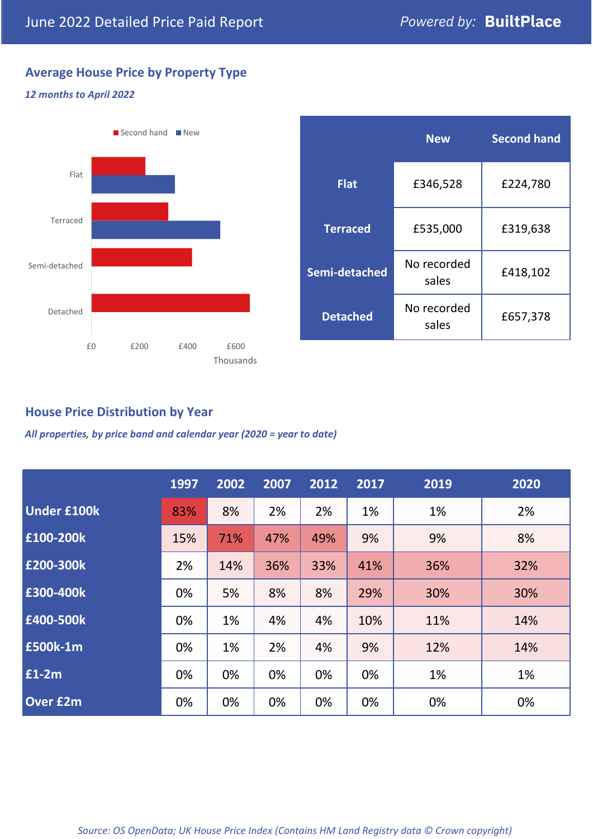# **Average House Price by Property Type**

#### *12 months to April 2022*



|                 | <b>New</b>           | <b>Second hand</b> |  |  |
|-----------------|----------------------|--------------------|--|--|
| <b>Flat</b>     | £346,528             | £224,780           |  |  |
| <b>Terraced</b> | £535,000             | £319,638           |  |  |
| Semi-detached   | No recorded<br>sales | £418,102           |  |  |
| <b>Detached</b> | No recorded<br>sales | £657,378           |  |  |

# **House Price Distribution by Year**

*All properties, by price band and calendar year (2020 = year to date)*

|                    | 1997 | 2002 | 2007 | 2012 | 2017 | 2019 | 2020 |
|--------------------|------|------|------|------|------|------|------|
| <b>Under £100k</b> | 83%  | 8%   | 2%   | 2%   | 1%   | 1%   | 2%   |
| £100-200k          | 15%  | 71%  | 47%  | 49%  | 9%   | 9%   | 8%   |
| E200-300k          | 2%   | 14%  | 36%  | 33%  | 41%  | 36%  | 32%  |
| £300-400k          | 0%   | 5%   | 8%   | 8%   | 29%  | 30%  | 30%  |
| £400-500k          | 0%   | 1%   | 4%   | 4%   | 10%  | 11%  | 14%  |
| <b>£500k-1m</b>    | 0%   | 1%   | 2%   | 4%   | 9%   | 12%  | 14%  |
| £1-2m              | 0%   | 0%   | 0%   | 0%   | 0%   | 1%   | 1%   |
| <b>Over £2m</b>    | 0%   | 0%   | 0%   | 0%   | 0%   | 0%   | 0%   |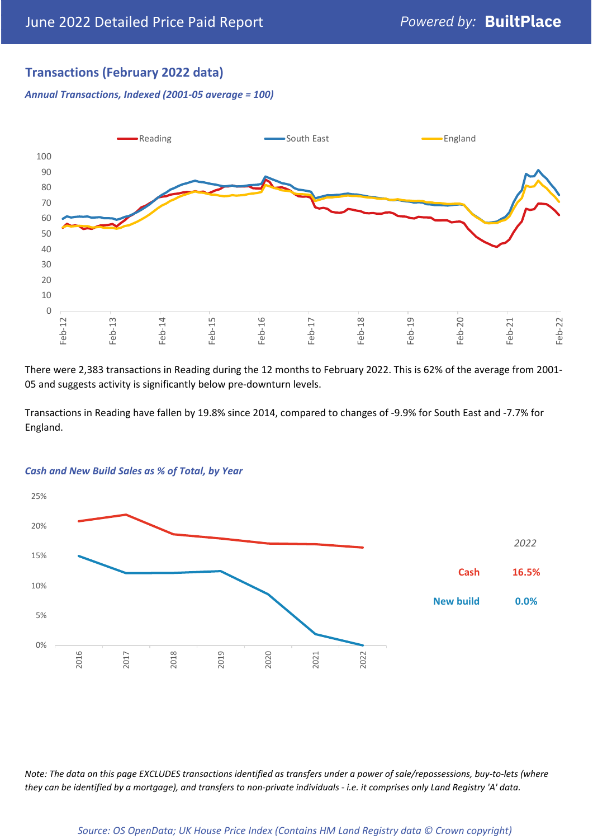# **Transactions (February 2022 data)**

*Annual Transactions, Indexed (2001-05 average = 100)*



There were 2,383 transactions in Reading during the 12 months to February 2022. This is 62% of the average from 2001- 05 and suggests activity is significantly below pre-downturn levels.

Transactions in Reading have fallen by 19.8% since 2014, compared to changes of -9.9% for South East and -7.7% for England.



#### *Cash and New Build Sales as % of Total, by Year*

*Note: The data on this page EXCLUDES transactions identified as transfers under a power of sale/repossessions, buy-to-lets (where they can be identified by a mortgage), and transfers to non-private individuals - i.e. it comprises only Land Registry 'A' data.*